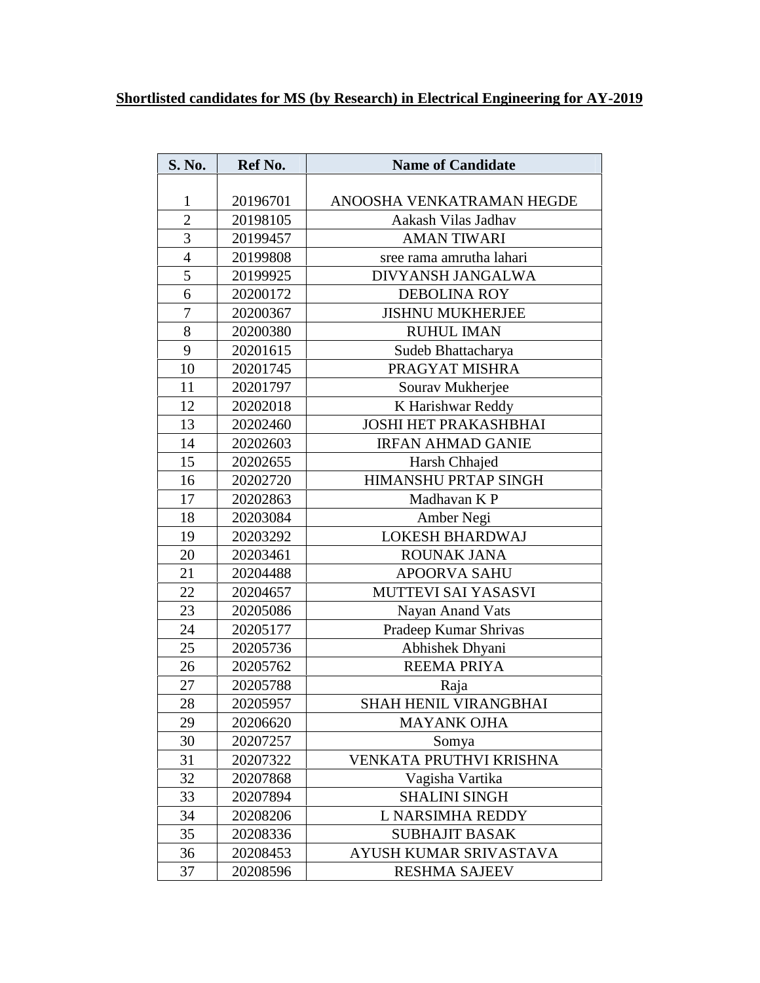## **Shortlisted candidates for MS (by Research) in Electrical Engineering for AY-2019**

| <b>S. No.</b>    | Ref No.  | <b>Name of Candidate</b>     |
|------------------|----------|------------------------------|
|                  |          |                              |
| $\mathbf{1}$     | 20196701 | ANOOSHA VENKATRAMAN HEGDE    |
| $\overline{2}$   | 20198105 | Aakash Vilas Jadhav          |
| 3                | 20199457 | <b>AMAN TIWARI</b>           |
| $\overline{4}$   | 20199808 | sree rama amrutha lahari     |
| 5                | 20199925 | DIVYANSH JANGALWA            |
| 6                | 20200172 | <b>DEBOLINA ROY</b>          |
| $\boldsymbol{7}$ | 20200367 | <b>JISHNU MUKHERJEE</b>      |
| $8\,$            | 20200380 | <b>RUHUL IMAN</b>            |
| 9                | 20201615 | Sudeb Bhattacharya           |
| 10               | 20201745 | PRAGYAT MISHRA               |
| 11               | 20201797 | Sourav Mukherjee             |
| 12               | 20202018 | K Harishwar Reddy            |
| 13               | 20202460 | <b>JOSHI HET PRAKASHBHAI</b> |
| 14               | 20202603 | <b>IRFAN AHMAD GANIE</b>     |
| 15               | 20202655 | Harsh Chhajed                |
| 16               | 20202720 | HIMANSHU PRTAP SINGH         |
| 17               | 20202863 | Madhavan K P                 |
| 18               | 20203084 | Amber Negi                   |
| 19               | 20203292 | <b>LOKESH BHARDWAJ</b>       |
| 20               | 20203461 | ROUNAK JANA                  |
| 21               | 20204488 | <b>APOORVA SAHU</b>          |
| 22               | 20204657 | MUTTEVI SAI YASASVI          |
| 23               | 20205086 | Nayan Anand Vats             |
| 24               | 20205177 | Pradeep Kumar Shrivas        |
| 25               | 20205736 | Abhishek Dhyani              |
| 26               | 20205762 | <b>REEMA PRIYA</b>           |
| 27               | 20205788 | Raja                         |
| 28               | 20205957 | SHAH HENIL VIRANGBHAI        |
| 29               | 20206620 | <b>MAYANK OJHA</b>           |
| 30               | 20207257 | Somya                        |
| 31               | 20207322 | VENKATA PRUTHVI KRISHNA      |
| 32               | 20207868 | Vagisha Vartika              |
| 33               | 20207894 | <b>SHALINI SINGH</b>         |
| 34               | 20208206 | L NARSIMHA REDDY             |
| 35               | 20208336 | <b>SUBHAJIT BASAK</b>        |
| 36               | 20208453 | AYUSH KUMAR SRIVASTAVA       |
| 37               | 20208596 | <b>RESHMA SAJEEV</b>         |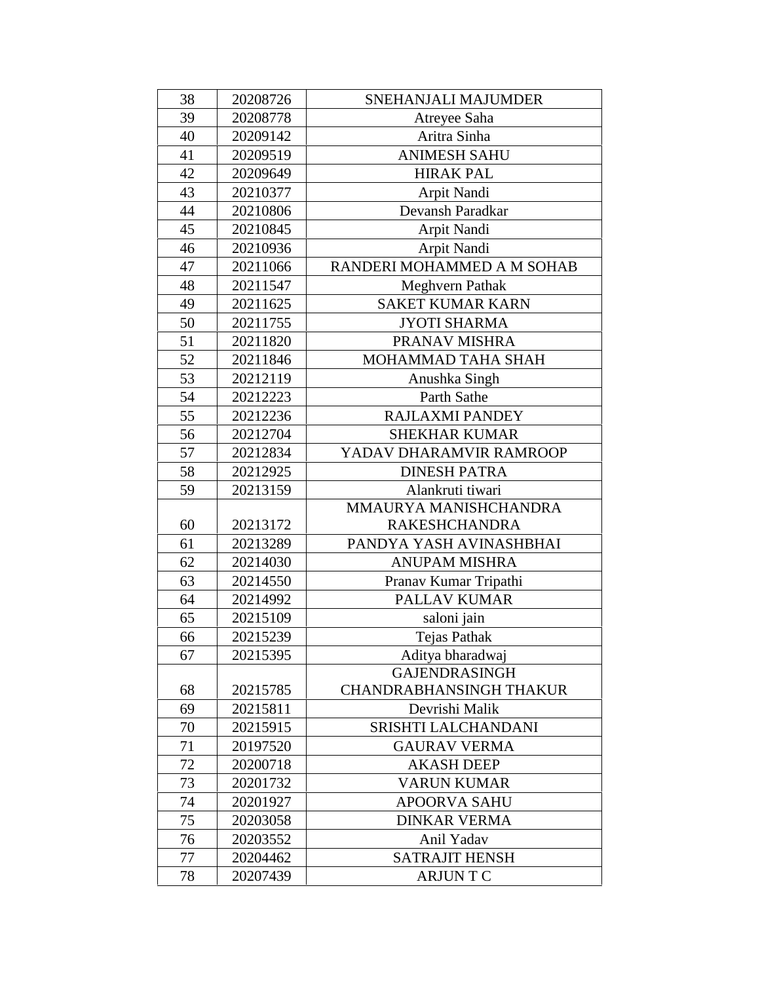| 38 | 20208726 | SNEHANJALI MAJUMDER            |
|----|----------|--------------------------------|
| 39 | 20208778 | Atreyee Saha                   |
| 40 | 20209142 | Aritra Sinha                   |
| 41 | 20209519 | <b>ANIMESH SAHU</b>            |
| 42 | 20209649 | <b>HIRAK PAL</b>               |
| 43 | 20210377 | Arpit Nandi                    |
| 44 | 20210806 | Devansh Paradkar               |
| 45 | 20210845 | Arpit Nandi                    |
| 46 | 20210936 | Arpit Nandi                    |
| 47 | 20211066 | RANDERI MOHAMMED A M SOHAB     |
| 48 | 20211547 | Meghvern Pathak                |
| 49 | 20211625 | <b>SAKET KUMAR KARN</b>        |
| 50 | 20211755 | <b>JYOTI SHARMA</b>            |
| 51 | 20211820 | PRANAV MISHRA                  |
| 52 | 20211846 | MOHAMMAD TAHA SHAH             |
| 53 | 20212119 | Anushka Singh                  |
| 54 | 20212223 | Parth Sathe                    |
| 55 | 20212236 | <b>RAJLAXMI PANDEY</b>         |
| 56 | 20212704 | <b>SHEKHAR KUMAR</b>           |
| 57 | 20212834 | YADAV DHARAMVIR RAMROOP        |
| 58 | 20212925 | <b>DINESH PATRA</b>            |
| 59 | 20213159 | Alankruti tiwari               |
|    |          | MMAURYA MANISHCHANDRA          |
| 60 | 20213172 | <b>RAKESHCHANDRA</b>           |
| 61 | 20213289 | PANDYA YASH AVINASHBHAI        |
| 62 | 20214030 | <b>ANUPAM MISHRA</b>           |
| 63 | 20214550 | Pranav Kumar Tripathi          |
| 64 | 20214992 | PALLAV KUMAR                   |
| 65 | 20215109 | saloni jain                    |
| 66 | 20215239 | <b>Tejas Pathak</b>            |
| 67 | 20215395 | Aditya bharadwaj               |
|    |          | <b>GAJENDRASINGH</b>           |
| 68 | 20215785 | <b>CHANDRABHANSINGH THAKUR</b> |
| 69 | 20215811 | Devrishi Malik                 |
| 70 | 20215915 | SRISHTI LALCHANDANI            |
| 71 | 20197520 | <b>GAURAV VERMA</b>            |
| 72 | 20200718 | <b>AKASH DEEP</b>              |
| 73 | 20201732 | <b>VARUN KUMAR</b>             |
| 74 | 20201927 | <b>APOORVA SAHU</b>            |
| 75 | 20203058 | <b>DINKAR VERMA</b>            |
| 76 | 20203552 | Anil Yadav                     |
| 77 | 20204462 | <b>SATRAJIT HENSH</b>          |
| 78 | 20207439 | <b>ARJUNTC</b>                 |